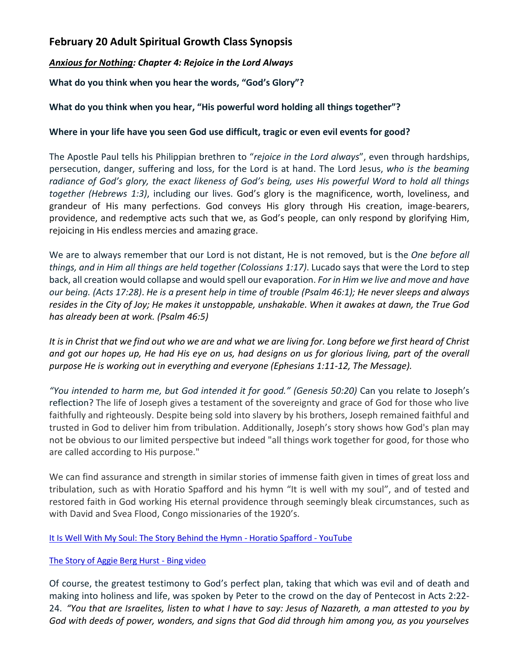# **February 20 Adult Spiritual Growth Class Synopsis**

*Anxious for Nothing: Chapter 4: Rejoice in the Lord Always*

**What do you think when you hear the words, "God's Glory"?**

## **What do you think when you hear, "His powerful word holding all things together"?**

### **Where in your life have you seen God use difficult, tragic or even evil events for good?**

The Apostle Paul tells his Philippian brethren to "*rejoice in the Lord always*", even through hardships, persecution, danger, suffering and loss, for the Lord is at hand. The Lord Jesus, *who is the beaming radiance of God's glory, the exact likeness of God's being, uses His powerful Word to hold all things together (Hebrews 1:3)*, including our lives. God's glory is the magnificence, worth, loveliness, and grandeur of His many perfections. God conveys His glory through His creation, image-bearers, providence, and redemptive acts such that we, as God's people, can only respond by glorifying Him, rejoicing in His endless mercies and amazing grace.

We are to always remember that our Lord is not distant, He is not removed, but is the *One before all things, and in Him all things are held together (Colossians 1:17)*. Lucado says that were the Lord to step back, all creation would collapse and would spell our evaporation. *For in Him we live and move and have our being. (Acts 17:28)*. *He is a present help in time of trouble (Psalm 46:1); He never sleeps and always resides in the City of Joy; He makes it unstoppable, unshakable. When it awakes at dawn, the True God has already been at work. (Psalm 46:5)*

*It is in Christ that we find out who we are and what we are living for. Long before we first heard of Christ and got our hopes up, He had His eye on us, had designs on us for glorious living, part of the overall purpose He is working out in everything and everyone (Ephesians 1:11-12, The Message).* 

*"You intended to harm me, but God intended it for good." (Genesis 50:20)* Can you relate to Joseph's reflection? The life of Joseph gives a testament of the sovereignty and grace of God for those who live faithfully and righteously. Despite being sold into slavery by his brothers, Joseph remained faithful and trusted in God to deliver him from tribulation. Additionally, Joseph's story shows how God's plan may not be obvious to our limited perspective but indeed "all things work together for good, for those who are called according to His purpose."

We can find assurance and strength in similar stories of immense faith given in times of great loss and tribulation, such as with Horatio Spafford and his hymn "It is well with my soul", and of tested and restored faith in God working His eternal providence through seemingly bleak circumstances, such as with David and Svea Flood, Congo missionaries of the 1920's.

#### [It Is Well With My Soul: The Story Behind the Hymn -](https://www.youtube.com/watch?v=Bvq3pYsHidA) Horatio Spafford - YouTube

#### [The Story of Aggie Berg Hurst -](https://www.bing.com/videos/search?q=aggie+hurst&&view=detail&mid=DACA66A5F80CD59DF4A2DACA66A5F80CD59DF4A2&&FORM=VRDGAR&ru=%2Fvideos%2Fsearch%3Fq%3Daggie%2520hurst%26qs%3Dn%26form%3DQBVR%26%3D%2525eManage%2520Your%2520Search%2520History%2525E%26sp%3D-1%26pq%3Daggie%2520hurst%26sc%3D5-11%26sk%3D%26cvid%3D11243780BF1A4A0680A5D6EAA74CEBED) Bing video

Of course, the greatest testimony to God's perfect plan, taking that which was evil and of death and making into holiness and life, was spoken by Peter to the crowd on the day of Pentecost in Acts 2:22- 24. *"You that are Israelites, listen to what I have to say: Jesus of Nazareth, a man attested to you by God with deeds of power, wonders, and signs that God did through him among you, as you yourselves*